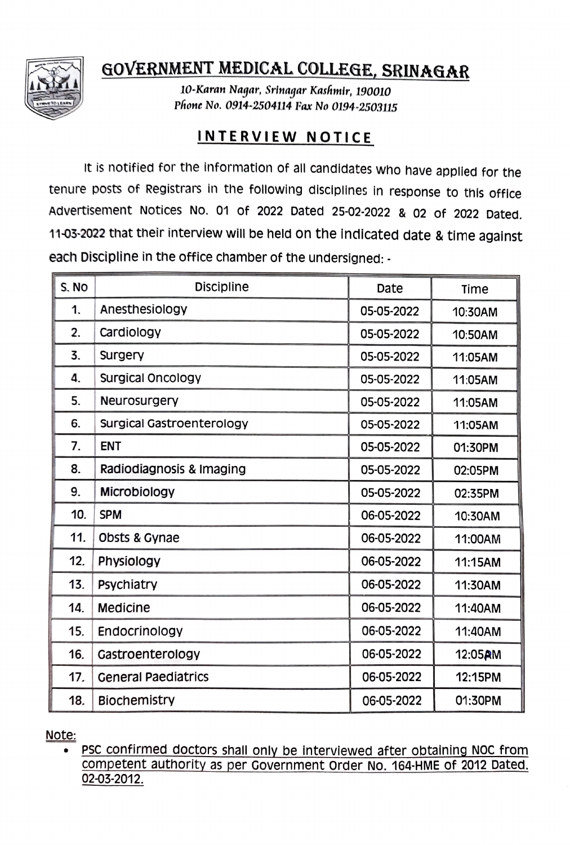

## GOVERNMENT MEDICAL COLLEGE, SRINAGAR

10-Karan Nagar, Srinagar Kashmir, 190010 Phone No. 0914-2504114 Fax No 0194-2503115

## INTERVIEW NOTICE

It is notified for the information of all candidates who have applied for the tenure posts of Registrars in the following disciplines in response to this office Advertisement Notices No. 01 of 2022 Dated 25-02-2022 & 02 of 2022 Dated. 11-03-2022 that their interview will be held on the indicated date & time against each Discipline in the office chamber of the undersigned: -

| S. NO | <b>Discipline</b>          | Date       | Time    |
|-------|----------------------------|------------|---------|
| 1.    | Anesthesiology             | 05-05-2022 | 10:30AM |
| 2.    | Cardiology                 | 05-05-2022 | 10:50AM |
| 3.    | Surgery                    | 05-05-2022 | 11:05AM |
| 4.    | <b>Surgical Oncology</b>   | 05-05-2022 | 11:05AM |
| 5.    | <b>Neurosurgery</b>        | 05-05-2022 | 11:05AM |
| 6.    | Surgical Gastroenterology  | 05-05-2022 | 11:05AM |
| 7.    | <b>ENT</b>                 | 05-05-2022 | 01:30PM |
| 8.    | Radiodiagnosis & Imaging   | 05-05-2022 | 02:05PM |
| 9.    | Microbiology               | 05-05-2022 | 02:35PM |
| 10.   | <b>SPM</b>                 | 06-05-2022 | 10:30AM |
| 11.   | Obsts & Gynae              | 06-05-2022 | 11:00AM |
| 12.   | Physiology                 | 06-05-2022 | 11:15AM |
| 13.   | Psychiatry                 | 06-05-2022 | 11:30AM |
| 14.   | Medicine                   | 06-05-2022 | 11:40AM |
| 15.   | Endocrinology              | 06-05-2022 | 11:40AM |
| 16.   | Gastroenterology           | 06-05-2022 | 12:05AM |
| 17.   | <b>General Paediatrics</b> | 06-05-2022 | 12:15PM |
| 18.   | <b>Biochemistry</b>        | 06-05-2022 | 01:30PM |

Note

PSC confirmed doctors shall only be interviewed after obtaining NOC from competent authority as per Government order No. 164-HME Of 2012 Dated. 02-03-2012.